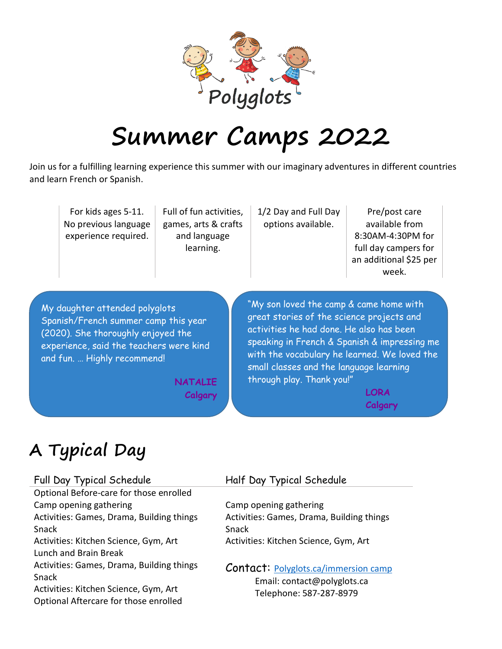

# **Summer Camps 2022**

Join us for a fulfilling learning experience this summer with our imaginary adventures in different countries and learn French or Spanish.

|                                         | For kids ages 5-11.<br>No previous language<br>experience required. | Full of fun activities,<br>games, arts & crafts<br>and language<br>learning. | 1/2 Day and Full Day<br>options available.   | Pre/post care<br>available from<br>8:30AM-4:30PM for<br>full day campers for<br>an additional \$25 per<br>week. |
|-----------------------------------------|---------------------------------------------------------------------|------------------------------------------------------------------------------|----------------------------------------------|-----------------------------------------------------------------------------------------------------------------|
| My daughter attended polyglots          |                                                                     |                                                                              | "My son loved the camp & came home with      |                                                                                                                 |
| Spanish/French summer camp this year    |                                                                     |                                                                              | great stories of the science projects and    |                                                                                                                 |
| (2020). She thoroughly enjoyed the      |                                                                     |                                                                              | activities he had done. He also has been     |                                                                                                                 |
| experience, said the teachers were kind |                                                                     |                                                                              | speaking in French & Spanish & impressing me |                                                                                                                 |
| and fun.  Highly recommend!             |                                                                     |                                                                              | with the vocabulary he learned. We loved the |                                                                                                                 |
| NATALIE                                 |                                                                     |                                                                              | small classes and the language learning      |                                                                                                                 |
| Calgary                                 |                                                                     |                                                                              | through play. Thank you!"                    |                                                                                                                 |

**Calgary**

# **A Typical Day**

| Full Day Typical Schedule                                                                                                            | Half Day Typical Schedule                                                                             |
|--------------------------------------------------------------------------------------------------------------------------------------|-------------------------------------------------------------------------------------------------------|
| Optional Before-care for those enrolled                                                                                              |                                                                                                       |
| Camp opening gathering                                                                                                               | Camp opening gathering                                                                                |
| Activities: Games, Drama, Building things<br>Snack                                                                                   | Activities: Games, Drama, Building things<br>Snack                                                    |
| Activities: Kitchen Science, Gym, Art<br>Lunch and Brain Break                                                                       | Activities: Kitchen Science, Gym, Art                                                                 |
| Activities: Games, Drama, Building things<br>Snack<br>Activities: Kitchen Science, Gym, Art<br>Optional Aftercare for those enrolled | <b>Contact:</b> Polyglots.ca/immersion camp<br>Email: contact@polyglots.ca<br>Telephone: 587-287-8979 |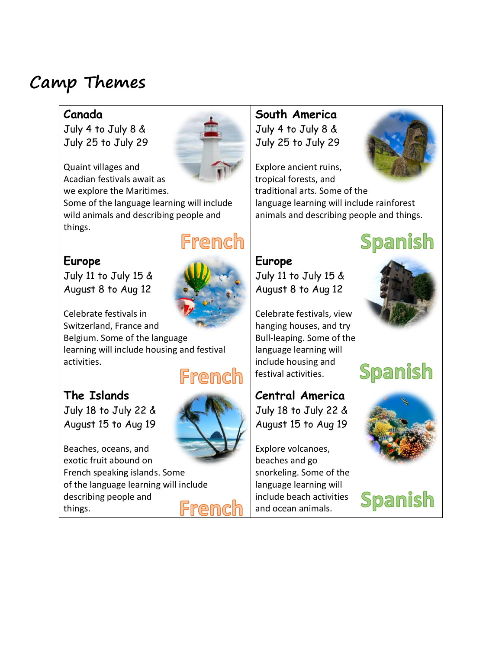# **Camp Themes**

### **Canada**

July 4 to July 8 & July 25 to July 29



Quaint villages and Acadian festivals await as we explore the Maritimes.

Some of the language learning will include wild animals and describing people and things.

#### **Europe**



French

Celebrate festivals in Switzerland, France and

Belgium. Some of the language learning will include housing and festival activities.

# French

#### **The Islands**

July 18 to July 22 & August 15 to Aug 19



Beaches, oceans, and exotic fruit abound on French speaking islands. Some of the language learning will include describing people and French things.

# **South America** July 4 to July 8 & July 25 to July 29



Explore ancient ruins, tropical forests, and traditional arts. Some of the language learning will include rainforest animals and describing people and things.



**Europe** July 11 to July 15 & August 8 to Aug 12

Celebrate festivals, view hanging houses, and try Bull-leaping. Some of the language learning will include housing and festival activities.



Spanish

**Central America** July 18 to July 22 & August 15 to Aug 19

Explore volcanoes, beaches and go snorkeling. Some of the language learning will include beach activities and ocean animals.



Spanish

July 11 to July 15 & August 8 to Aug 12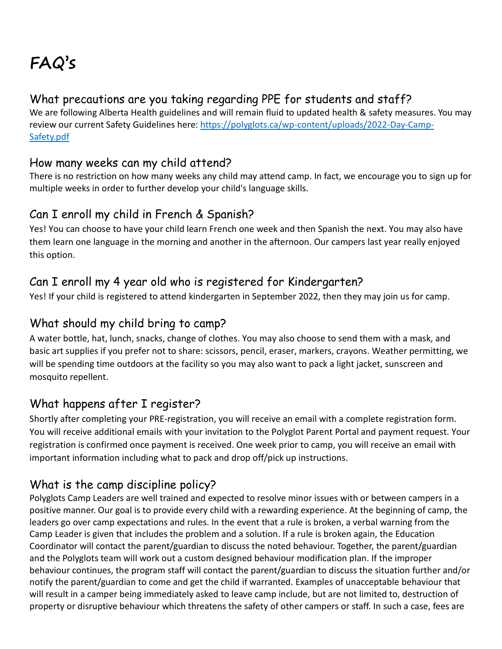# **FAQ's**

# What precautions are you taking regarding PPE for students and staff?

We are following Alberta Health guidelines and will remain fluid to updated health & safety measures. You may review our current Safety Guidelines here: [https://polyglots.ca/wp-content/uploads/2022-Day-Camp-](https://polyglots.ca/wp-content/uploads/2022-Day-Camp-Safety.pdf)[Safety.pdf](https://polyglots.ca/wp-content/uploads/2022-Day-Camp-Safety.pdf)

#### How many weeks can my child attend?

There is no restriction on how many weeks any child may attend camp. In fact, we encourage you to sign up for multiple weeks in order to further develop your child's language skills.

### Can I enroll my child in French & Spanish?

Yes! You can choose to have your child learn French one week and then Spanish the next. You may also have them learn one language in the morning and another in the afternoon. Our campers last year really enjoyed this option.

### Can I enroll my 4 year old who is registered for Kindergarten?

Yes! If your child is registered to attend kindergarten in September 2022, then they may join us for camp.

#### What should my child bring to camp?

A water bottle, hat, lunch, snacks, change of clothes. You may also choose to send them with a mask, and basic art supplies if you prefer not to share: scissors, pencil, eraser, markers, crayons. Weather permitting, we will be spending time outdoors at the facility so you may also want to pack a light jacket, sunscreen and mosquito repellent.

# What happens after I register?

Shortly after completing your PRE-registration, you will receive an email with a complete registration form. You will receive additional emails with your invitation to the Polyglot Parent Portal and payment request. Your registration is confirmed once payment is received. One week prior to camp, you will receive an email with important information including what to pack and drop off/pick up instructions.

# What is the camp discipline policy?

Polyglots Camp Leaders are well trained and expected to resolve minor issues with or between campers in a positive manner. Our goal is to provide every child with a rewarding experience. At the beginning of camp, the leaders go over camp expectations and rules. In the event that a rule is broken, a verbal warning from the Camp Leader is given that includes the problem and a solution. If a rule is broken again, the Education Coordinator will contact the parent/guardian to discuss the noted behaviour. Together, the parent/guardian and the Polyglots team will work out a custom designed behaviour modification plan. If the improper behaviour continues, the program staff will contact the parent/guardian to discuss the situation further and/or notify the parent/guardian to come and get the child if warranted. Examples of unacceptable behaviour that will result in a camper being immediately asked to leave camp include, but are not limited to, destruction of property or disruptive behaviour which threatens the safety of other campers or staff. In such a case, fees are